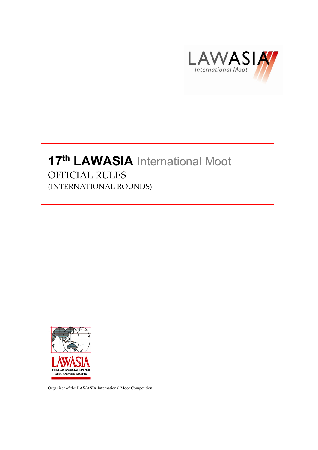

# 17<sup>th</sup> LAWASIA International Moot OFFICIAL RULES (INTERNATIONAL ROUNDS)



Organiser of the LAWASIA International Moot Competition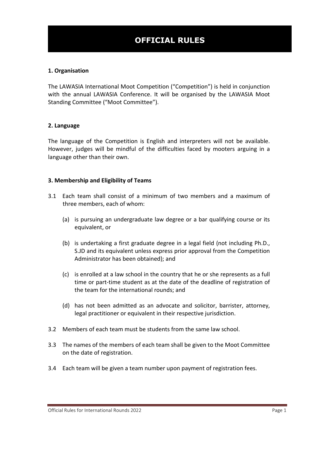# **OFFICIAL RULES**

#### **1. Organisation**

The LAWASIA International Moot Competition ("Competition") is held in conjunction with the annual LAWASIA Conference. It will be organised by the LAWASIA Moot Standing Committee ("Moot Committee").

#### **2. Language**

The language of the Competition is English and interpreters will not be available. However, judges will be mindful of the difficulties faced by mooters arguing in a language other than their own.

#### **3. Membership and Eligibility of Teams**

- 3.1 Each team shall consist of a minimum of two members and a maximum of three members, each of whom:
	- (a) is pursuing an undergraduate law degree or a bar qualifying course or its equivalent, or
	- (b) is undertaking a first graduate degree in a legal field (not including Ph.D., S.JD and its equivalent unless express prior approval from the Competition Administrator has been obtained); and
	- (c) is enrolled at a law school in the country that he or she represents as a full time or part-time student as at the date of the deadline of registration of the team for the international rounds; and
	- (d) has not been admitted as an advocate and solicitor, barrister, attorney, legal practitioner or equivalent in their respective jurisdiction.
- 3.2 Members of each team must be students from the same law school.
- 3.3 The names of the members of each team shall be given to the Moot Committee on the date of registration.
- 3.4 Each team will be given a team number upon payment of registration fees.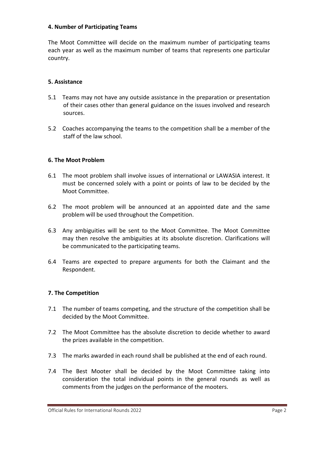#### **4. Number of Participating Teams**

The Moot Committee will decide on the maximum number of participating teams each year as well as the maximum number of teams that represents one particular country.

#### **5. Assistance**

- 5.1 Teams may not have any outside assistance in the preparation or presentation of their cases other than general guidance on the issues involved and research sources.
- 5.2 Coaches accompanying the teams to the competition shall be a member of the staff of the law school.

#### **6. The Moot Problem**

- 6.1 The moot problem shall involve issues of international or LAWASIA interest. It must be concerned solely with a point or points of law to be decided by the Moot Committee.
- 6.2 The moot problem will be announced at an appointed date and the same problem will be used throughout the Competition.
- 6.3 Any ambiguities will be sent to the Moot Committee. The Moot Committee may then resolve the ambiguities at its absolute discretion. Clarifications will be communicated to the participating teams.
- 6.4 Teams are expected to prepare arguments for both the Claimant and the Respondent.

#### **7. The Competition**

- 7.1 The number of teams competing, and the structure of the competition shall be decided by the Moot Committee.
- 7.2 The Moot Committee has the absolute discretion to decide whether to award the prizes available in the competition.
- 7.3 The marks awarded in each round shall be published at the end of each round.
- 7.4 The Best Mooter shall be decided by the Moot Committee taking into consideration the total individual points in the general rounds as well as comments from the judges on the performance of the mooters.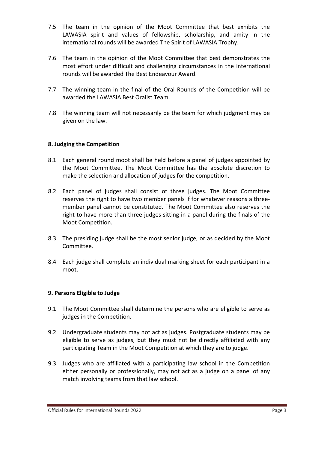- 7.5 The team in the opinion of the Moot Committee that best exhibits the LAWASIA spirit and values of fellowship, scholarship, and amity in the international rounds will be awarded The Spirit of LAWASIA Trophy.
- 7.6 The team in the opinion of the Moot Committee that best demonstrates the most effort under difficult and challenging circumstances in the international rounds will be awarded The Best Endeavour Award.
- 7.7 The winning team in the final of the Oral Rounds of the Competition will be awarded the LAWASIA Best Oralist Team.
- 7.8 The winning team will not necessarily be the team for which judgment may be given on the law.

# **8. Judging the Competition**

- 8.1 Each general round moot shall be held before a panel of judges appointed by the Moot Committee. The Moot Committee has the absolute discretion to make the selection and allocation of judges for the competition.
- 8.2 Each panel of judges shall consist of three judges. The Moot Committee reserves the right to have two member panels if for whatever reasons a threemember panel cannot be constituted. The Moot Committee also reserves the right to have more than three judges sitting in a panel during the finals of the Moot Competition.
- 8.3 The presiding judge shall be the most senior judge, or as decided by the Moot Committee.
- 8.4 Each judge shall complete an individual marking sheet for each participant in a moot.

# **9. Persons Eligible to Judge**

- 9.1 The Moot Committee shall determine the persons who are eligible to serve as judges in the Competition.
- 9.2 Undergraduate students may not act as judges. Postgraduate students may be eligible to serve as judges, but they must not be directly affiliated with any participating Team in the Moot Competition at which they are to judge.
- 9.3 Judges who are affiliated with a participating law school in the Competition either personally or professionally, may not act as a judge on a panel of any match involving teams from that law school.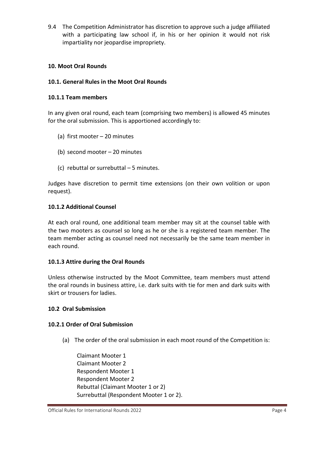9.4 The Competition Administrator has discretion to approve such a judge affiliated with a participating law school if, in his or her opinion it would not risk impartiality nor jeopardise impropriety.

# **10. Moot Oral Rounds**

# **10.1. General Rules in the Moot Oral Rounds**

# **10.1.1 Team members**

In any given oral round, each team (comprising two members) is allowed 45 minutes for the oral submission. This is apportioned accordingly to:

- (a) first mooter 20 minutes
- (b) second mooter 20 minutes
- (c) rebuttal or surrebuttal 5 minutes.

Judges have discretion to permit time extensions (on their own volition or upon request).

#### **10.1.2 Additional Counsel**

At each oral round, one additional team member may sit at the counsel table with the two mooters as counsel so long as he or she is a registered team member. The team member acting as counsel need not necessarily be the same team member in each round.

# **10.1.3 Attire during the Oral Rounds**

Unless otherwise instructed by the Moot Committee, team members must attend the oral rounds in business attire, i.e. dark suits with tie for men and dark suits with skirt or trousers for ladies.

#### **10.2 Oral Submission**

#### **10.2.1 Order of Oral Submission**

(a) The order of the oral submission in each moot round of the Competition is:

Claimant Mooter 1 Claimant Mooter 2 Respondent Mooter 1 Respondent Mooter 2 Rebuttal (Claimant Mooter 1 or 2) Surrebuttal (Respondent Mooter 1 or 2).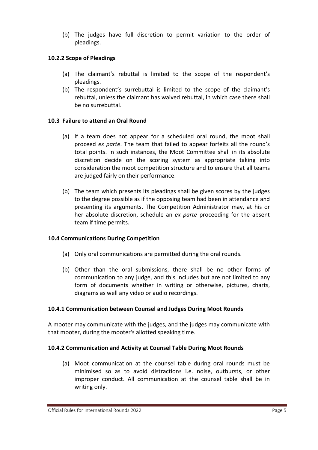(b) The judges have full discretion to permit variation to the order of pleadings.

#### **10.2.2 Scope of Pleadings**

- (a) The claimant's rebuttal is limited to the scope of the respondent's pleadings.
- (b) The respondent's surrebuttal is limited to the scope of the claimant's rebuttal, unless the claimant has waived rebuttal, in which case there shall be no surrebuttal.

#### **10.3 Failure to attend an Oral Round**

- (a) If a team does not appear for a scheduled oral round, the moot shall proceed *ex parte*. The team that failed to appear forfeits all the round's total points. In such instances, the Moot Committee shall in its absolute discretion decide on the scoring system as appropriate taking into consideration the moot competition structure and to ensure that all teams are judged fairly on their performance.
- (b) The team which presents its pleadings shall be given scores by the judges to the degree possible as if the opposing team had been in attendance and presenting its arguments. The Competition Administrator may, at his or her absolute discretion, schedule an *ex parte* proceeding for the absent team if time permits.

#### **10.4 Communications During Competition**

- (a) Only oral communications are permitted during the oral rounds.
- (b) Other than the oral submissions, there shall be no other forms of communication to any judge, and this includes but are not limited to any form of documents whether in writing or otherwise, pictures, charts, diagrams as well any video or audio recordings.

#### **10.4.1 Communication between Counsel and Judges During Moot Rounds**

A mooter may communicate with the judges, and the judges may communicate with that mooter, during the mooter's allotted speaking time.

#### **10.4.2 Communication and Activity at Counsel Table During Moot Rounds**

(a) Moot communication at the counsel table during oral rounds must be minimised so as to avoid distractions i.e. noise, outbursts, or other improper conduct. All communication at the counsel table shall be in writing only.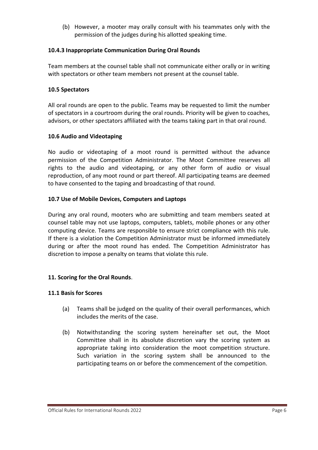(b) However, a mooter may orally consult with his teammates only with the permission of the judges during his allotted speaking time.

# **10.4.3 Inappropriate Communication During Oral Rounds**

Team members at the counsel table shall not communicate either orally or in writing with spectators or other team members not present at the counsel table.

# **10.5 Spectators**

All oral rounds are open to the public. Teams may be requested to limit the number of spectators in a courtroom during the oral rounds. Priority will be given to coaches, advisors, or other spectators affiliated with the teams taking part in that oral round.

# **10.6 Audio and Videotaping**

No audio or videotaping of a moot round is permitted without the advance permission of the Competition Administrator. The Moot Committee reserves all rights to the audio and videotaping, or any other form of audio or visual reproduction, of any moot round or part thereof. All participating teams are deemed to have consented to the taping and broadcasting of that round.

# **10.7 Use of Mobile Devices, Computers and Laptops**

During any oral round, mooters who are submitting and team members seated at counsel table may not use laptops, computers, tablets, mobile phones or any other computing device. Teams are responsible to ensure strict compliance with this rule. If there is a violation the Competition Administrator must be informed immediately during or after the moot round has ended. The Competition Administrator has discretion to impose a penalty on teams that violate this rule.

# **11. Scoring for the Oral Rounds**.

# **11.1 Basis for Scores**

- (a) Teams shall be judged on the quality of their overall performances, which includes the merits of the case.
- (b) Notwithstanding the scoring system hereinafter set out, the Moot Committee shall in its absolute discretion vary the scoring system as appropriate taking into consideration the moot competition structure. Such variation in the scoring system shall be announced to the participating teams on or before the commencement of the competition.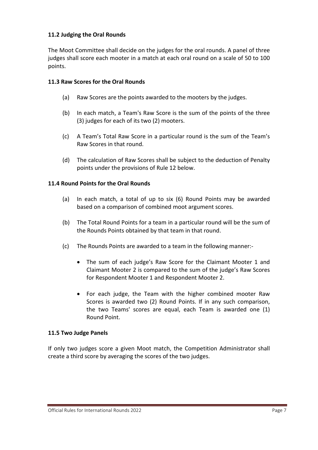# **11.2 Judging the Oral Rounds**

The Moot Committee shall decide on the judges for the oral rounds. A panel of three judges shall score each mooter in a match at each oral round on a scale of 50 to 100 points.

# **11.3 Raw Scores for the Oral Rounds**

- (a) Raw Scores are the points awarded to the mooters by the judges.
- (b) In each match, a Team's Raw Score is the sum of the points of the three (3) judges for each of its two (2) mooters.
- (c) A Team's Total Raw Score in a particular round is the sum of the Team's Raw Scores in that round.
- (d) The calculation of Raw Scores shall be subject to the deduction of Penalty points under the provisions of Rule 12 below.

# **11.4 Round Points for the Oral Rounds**

- (a) In each match, a total of up to six (6) Round Points may be awarded based on a comparison of combined moot argument scores.
- (b) The Total Round Points for a team in a particular round will be the sum of the Rounds Points obtained by that team in that round.
- (c) The Rounds Points are awarded to a team in the following manner:-
	- The sum of each judge's Raw Score for the Claimant Mooter 1 and Claimant Mooter 2 is compared to the sum of the judge's Raw Scores for Respondent Mooter 1 and Respondent Mooter 2.
	- For each judge, the Team with the higher combined mooter Raw Scores is awarded two (2) Round Points. If in any such comparison, the two Teams' scores are equal, each Team is awarded one (1) Round Point.

# **11.5 Two Judge Panels**

If only two judges score a given Moot match, the Competition Administrator shall create a third score by averaging the scores of the two judges.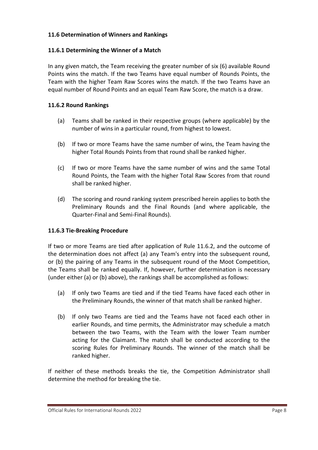# **11.6 Determination of Winners and Rankings**

# **11.6.1 Determining the Winner of a Match**

In any given match, the Team receiving the greater number of six (6) available Round Points wins the match. If the two Teams have equal number of Rounds Points, the Team with the higher Team Raw Scores wins the match. If the two Teams have an equal number of Round Points and an equal Team Raw Score, the match is a draw.

# **11.6.2 Round Rankings**

- (a) Teams shall be ranked in their respective groups (where applicable) by the number of wins in a particular round, from highest to lowest.
- (b) If two or more Teams have the same number of wins, the Team having the higher Total Rounds Points from that round shall be ranked higher.
- (c) If two or more Teams have the same number of wins and the same Total Round Points, the Team with the higher Total Raw Scores from that round shall be ranked higher.
- (d) The scoring and round ranking system prescribed herein applies to both the Preliminary Rounds and the Final Rounds (and where applicable, the Quarter-Final and Semi-Final Rounds).

# **11.6.3 Tie-Breaking Procedure**

If two or more Teams are tied after application of Rule 11.6.2, and the outcome of the determination does not affect (a) any Team's entry into the subsequent round, or (b) the pairing of any Teams in the subsequent round of the Moot Competition, the Teams shall be ranked equally. If, however, further determination is necessary (under either (a) or (b) above), the rankings shall be accomplished as follows:

- (a) If only two Teams are tied and if the tied Teams have faced each other in the Preliminary Rounds, the winner of that match shall be ranked higher.
- (b) If only two Teams are tied and the Teams have not faced each other in earlier Rounds, and time permits, the Administrator may schedule a match between the two Teams, with the Team with the lower Team number acting for the Claimant. The match shall be conducted according to the scoring Rules for Preliminary Rounds. The winner of the match shall be ranked higher.

If neither of these methods breaks the tie, the Competition Administrator shall determine the method for breaking the tie.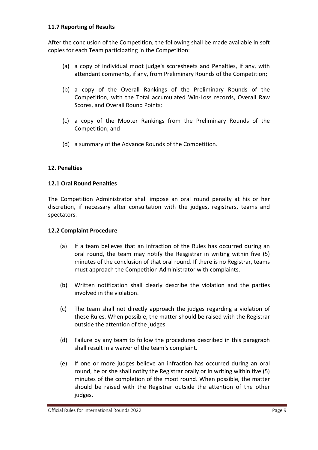#### **11.7 Reporting of Results**

After the conclusion of the Competition, the following shall be made available in soft copies for each Team participating in the Competition:

- (a) a copy of individual moot judge's scoresheets and Penalties, if any, with attendant comments, if any, from Preliminary Rounds of the Competition;
- (b) a copy of the Overall Rankings of the Preliminary Rounds of the Competition, with the Total accumulated Win-Loss records, Overall Raw Scores, and Overall Round Points;
- (c) a copy of the Mooter Rankings from the Preliminary Rounds of the Competition; and
- (d) a summary of the Advance Rounds of the Competition.

# **12. Penalties**

#### **12.1 Oral Round Penalties**

The Competition Administrator shall impose an oral round penalty at his or her discretion, if necessary after consultation with the judges, registrars, teams and spectators.

#### **12.2 Complaint Procedure**

- (a) If a team believes that an infraction of the Rules has occurred during an oral round, the team may notify the Resgistrar in writing within five (5) minutes of the conclusion of that oral round. If there is no Registrar, teams must approach the Competition Administrator with complaints.
- (b) Written notification shall clearly describe the violation and the parties involved in the violation.
- (c) The team shall not directly approach the judges regarding a violation of these Rules. When possible, the matter should be raised with the Registrar outside the attention of the judges.
- (d) Failure by any team to follow the procedures described in this paragraph shall result in a waiver of the team's complaint.
- (e) If one or more judges believe an infraction has occurred during an oral round, he or she shall notify the Registrar orally or in writing within five (5) minutes of the completion of the moot round. When possible, the matter should be raised with the Registrar outside the attention of the other judges.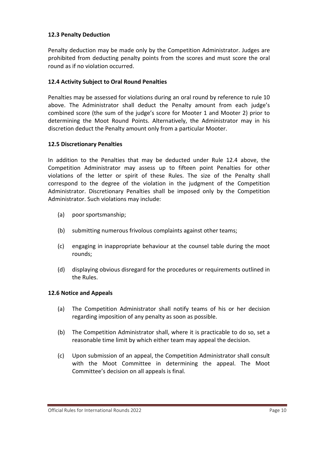# **12.3 Penalty Deduction**

Penalty deduction may be made only by the Competition Administrator. Judges are prohibited from deducting penalty points from the scores and must score the oral round as if no violation occurred.

# **12.4 Activity Subject to Oral Round Penalties**

Penalties may be assessed for violations during an oral round by reference to rule 10 above. The Administrator shall deduct the Penalty amount from each judge's combined score (the sum of the judge's score for Mooter 1 and Mooter 2) prior to determining the Moot Round Points. Alternatively, the Administrator may in his discretion deduct the Penalty amount only from a particular Mooter.

# **12.5 Discretionary Penalties**

In addition to the Penalties that may be deducted under Rule 12.4 above, the Competition Administrator may assess up to fifteen point Penalties for other violations of the letter or spirit of these Rules. The size of the Penalty shall correspond to the degree of the violation in the judgment of the Competition Administrator. Discretionary Penalties shall be imposed only by the Competition Administrator. Such violations may include:

- (a) poor sportsmanship;
- (b) submitting numerous frivolous complaints against other teams;
- (c) engaging in inappropriate behaviour at the counsel table during the moot rounds;
- (d) displaying obvious disregard for the procedures or requirements outlined in the Rules.

# **12.6 Notice and Appeals**

- (a) The Competition Administrator shall notify teams of his or her decision regarding imposition of any penalty as soon as possible.
- (b) The Competition Administrator shall, where it is practicable to do so, set a reasonable time limit by which either team may appeal the decision.
- (c) Upon submission of an appeal, the Competition Administrator shall consult with the Moot Committee in determining the appeal. The Moot Committee's decision on all appeals is final.